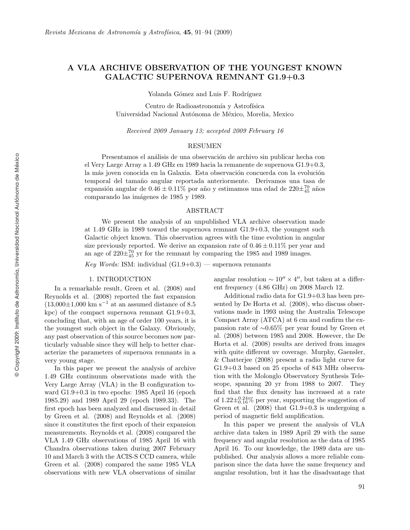# A VLA ARCHIVE OBSERVATION OF THE YOUNGEST KNOWN GALACTIC SUPERNO VA REMNANT G1.9+0.3

Yolanda Gómez and Luis F. Rodríguez

Centro de Radioastronomía y Astrofísica Universidad Nacional Autónoma de México, Morelia, Mexico

Received 2009 January 13; accepted 2009 February 16

## RESUMEN

Presentamos el análisis de una observación de archivo sin publicar hecha con el Very Large Array a 1.49 GHz en 1989 hacia la remanente de supernova G1.9+0.3, la más joven conocida en la Galaxia. Esta observación concuerda con la evolución temporal del tamaño angular reportada anteriormente. Derivamos una tasa de expansión angular de  $0.46 \pm 0.11\%$  por año y estimamos una edad de  $220\pm_{45}^{70}$  años comparando las imágenes de 1985 y 1989.

## ABSTRACT

We presen t the analysis of an unpublished VLA archiv e observation made at  $1.49$  GHz in 1989 toward the supernova remnant  $G1.9+0.3$ , the youngest such Galactic object known. This observation agrees with the time evolution in angular size previously reported. We derive an expansion rate of  $0.46 \pm 0.11\%$  per year and an age of  $220\pm_{45}^{70}$  yr for the remnant by comparing the 1985 and 1989 images.

Key Words: ISM: individual  $(G1.9+0.3)$  — supernova remnants

## 1. INTRODUCTION

In a remarkable result, Green et al. (2008) and Reynolds et al. (2008) reported the fast expansion  $(13,000\pm1,000)$  km s<sup>-1</sup> at an assumed distance of 8.5 kpc) of the compact supernova remnant  $G1.9+0.3$ , concluding that, with an age of order 100 years, it is the youngest suc h object in the Galaxy . Obviously , an y past observation of this source becomes no w particularly valuable since they will help to better characterize the parameters of supernova remnants in a very young stage.

In this paper w e presen t the analysis of archiv e 1.49 GHz continuum observations made with the Very Large Array (VLA) in the B configuration to ward G1.9+0.3 in two epochs: 1985 April 16 (epoch 1985.29) and 1989 April 29 (ep o c h 1989.33). The first epoch has been analyzed and discussed in detail b y Green et al. (2008) and Reynolds et al. (2008) since it constitutes the first epoch of their expansion measurements. Reynolds et al. (2008) compared the VLA 1.49 GHz observations of 1985 April 16 with Chandra observations taken during 2007 February 10 and Marc h 3 with the ACIS-S CCD camera, while Green et al. (2008) compared the same 1985 VLA observations with new VLA observations of similar

angular resolution  $\sim 10'' \times 4''$ , but taken at a different frequency (4.86 GHz) on 2008 March 12.

Additional radio data for G1.9+0.3 has been presented by De Horta et al. (2008), who discuss obser vations made in 1993 using the Australia Telescope Compact Array (ATCA) at 6 cm and confirm the expansion rate of ∼0.65% per year found by Green et al. (2008) bet ween 1985 and 2008. Ho wever, the De Horta et al. (2008) results are derived from images with quite different uv coverage. Murphy, Gaensler, & Chatterjee (2008) presen t a radio ligh t curv e for  $G1.9+0.3$  based on 25 epochs of 843 MHz observation with the Molonglo Observatory Synthesis Telescope, spanning 20 yr from 1988 to 2007. They find that the flux densit y has increased at a rate of  $1.22 \pm \frac{0.24}{0.16}$ % per year, supporting the suggestion of Green et al.  $(2008)$  that  $G1.9+0.3$  is undergoing a perio d of magnetic field amplification.

In this paper w e presen t the analysis of VLA archiv e data taken in 1989 April 29 with the same frequency and angular resolution as the data of 1985 April 16. To our knowledge, the 1989 data are unpublished. Our analysis allows a more reliable comparison since the data have the same frequency and angular resolution, but it has the disadvantage that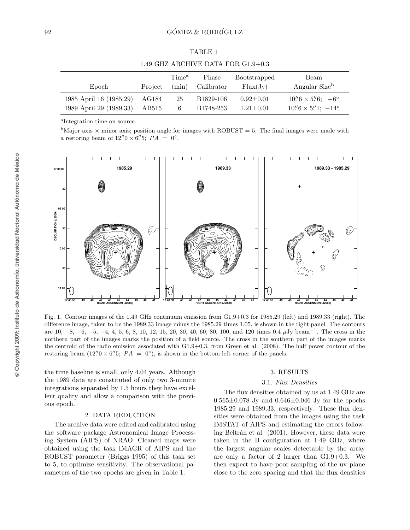TABLE 1

AG184 25 B1829-106

a Integration time on source.

1985 April 16 (1985.29)

1989 April 29 (1989.33) AB515

<sup>b</sup>Major axis  $\times$  minor axis; position angle for images with ROBUST = 5. The final images were made with a restoring beam of  $12\rlap.{''}0 \times 6\rlap.{''}5$ ;  $PA = 0^\circ$ .

6 B1748-253

 $0.92 \pm 0.01$ 

 $1.21 \pm 0.01$ 

 $6 \times 5\rlap{.}''6; -6^{\circ}$ 

 $6 \times 5\rlap{.}''1$ ;  $-14^\circ$ 



Fig. 1. Contour images of the 1.49 GHz continuum emission from G1.9+0.3 for 1985.29 (left) and 1989.33 (right). The difference image, taken to b e the 1989.33 image minus the 1985.29 times 1.05, is shown in the righ t panel. The contours are  $10, -8, -6, -5, -4, 4, 5, 6, 8, 10, 12, 15, 20, 30, 40, 60, 80, 100,$  and  $120 \text{ times } 0.4 \mu \text{Jy beam}^{-1}$ . The cross in the northern part of the images marks the position of a field source. The cross in the southern part of the images marks the centroid of the radio emission associated with G1.9+0.3, from Green et al. (2008). The half p o wer contour of the restoring beam  $(12\rlap.{''}0 \times 6\rlap.{''}5; PA = 0^\circ)$ , is shown in the bottom left corner of the panels.

the time baseline is small, only 4.04 years. Although the 1989 data are constituted of only t w o 3-minute integrations separated b y 1.5 hours they hav e excellent quality and allow a comparison with the previous epoch.

#### 2. D ATA REDUCTION

The archiv e data were edited and calibrated using the soft ware pac kage Astronomical Image Processing System (AIPS) of NRAO. Cleaned maps were obtained using the task IMAGR of AIPS and the ROBUST parameter (Briggs 1995) of this task set to 5, to optimize sensitivit y . The observational parameters of the two epochs are given in Table 1.

## 3. RESULTS

### 3.1 . Flux Densities

The flux densities obtained b y us at 1.49 GHz are  $0.565 \pm 0.078$  Jy and  $0.646 \pm 0.046$  Jy for the epochs 1985.29 and 1989.33, respectively . These flux densities were obtained from the images using the task IMSTAT of AIPS and estimating the errors following Beltrán et al. (2001). However, these data were taken in the B configuration at 1.49 GHz, where the largest angular scales detectable b y the array are only a factor of 2 larger than G1.9+0.3. We then expect to hav e p oor sampling of the uv plane close to the zero spacing and that the flux densities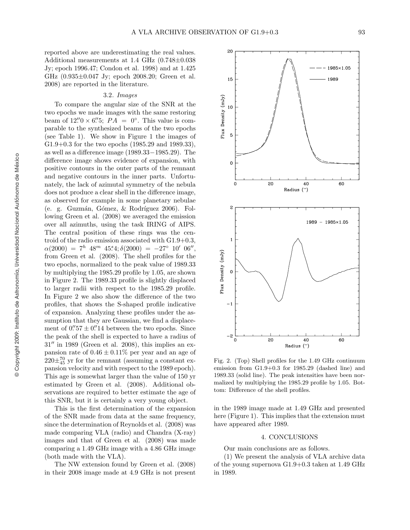reported ab o v e are underestimating the real values. Additional measurements at 1.4 GHz (0.748 ±0.038 Jy; ep o c h 1996.47; Condon et al. 1998) and at 1.425 GHz (0.935±0.047 Jy; epoch 2008.20; Green et al. 2008) are reported in the literature.

### 3.2 . Images

To compare the angular size of the SNR at the two epochs we made images with the same restoring beam of  $12\rlap.{''}0 \times 6\rlap.{''}5$ ;  $PA = 0^\circ$ . This value is comparable to the synthesized beams of the two epochs (see Table 1). We sho w in Figure 1 the images of G1.9+0.3 for the two epochs (1985.29 and 1989.33), as well as a difference image (1989 .33 −1985 .29). The difference image shows evidence of expansion, with positive contours in the outer parts of the remnant and negativ e contours in the inner parts. Unfortunately, the lack of azimutal symmetry of the nebula does not produce a clear shell in the difference image, as observed for example in some planetary nebulae (e. g. Guzmán, Gómez, & Rodríguez 2006). Following Green et al. (2008) we averaged the emission over all azimuths, using the task IRING of AIPS. The central position of these rings was the centroid of the radio emission associated with G1.9+0.3,<br> $\alpha(2000) = 7^h 48^m 45.4; \delta(2000) = -27° 10' 06'',$ from Green et al. (2008). The shell profiles for the two epochs, normalized to the peak value of 1989.33 by multiplying the 1985.29 profile by 1.05, are shown in Figure 2. The 1989.33 profile is slightly displaced to larger radii with respect to the 1985.29 profile. In Figure 2 we also show the difference of the two profiles, that shows the S-shaped profile indicativ e of expansion. Analyzing these profiles under the assumption that they are Gaussian, we find a displacement of  $0.^{\prime\prime}57 \pm 0.^{\prime\prime}14$  between the two epochs. Since the peak of the shell is expected to hav e a radius of  $31''$  in 1989 (Green et al. 2008), this implies an expansion rate of  $0.46 \pm 0.11\%$  per year and an age of  $220\pm_{45}^{70}$  yr for the remnant (assuming a constant expansion velocity and with respect to the 1989 epoch). This age is somewhat larger than the value of 150 yr estimated b y Green et al. (2008). Additional observations are required to better estimate the age of this SNR, but it is certainly a very young object.

This is the first determination of the expansion of the SNR made from data at the same frequency , since the determination of Reynolds et al. (2008) was made comparing VLA (radio) and Chandra (X-ray) images and that of Green et al. (2008) was made comparing a 1.49 GHz image with a 4.86 GHz image (both made with the VLA).

The NW extension found b y Green et al. (2008) in their 2008 image made at 4.9 GHz is not presen t



Fig. 2. (Top) Shell profiles for the 1.49 GHz continuum emission from G1.9+0.3 for 1985.29 (dashed line) and 1989.33 (solid line). The peak intensities hav e been normalized by multiplying the 1985.29 profile by 1.05. Bottom: Difference of the shell profiles.

in the 1989 image made at 1.49 GHz and presented here (Figure 1). This implies that the extension must hav e appeared after 1989.

### 4. CONCLUSIONS

Our main conclusions are as follows.

(1) We presen t the analysis of VLA archiv e data of the young supernova G1.9+0.3 taken at 1.49 GHz in 1989.